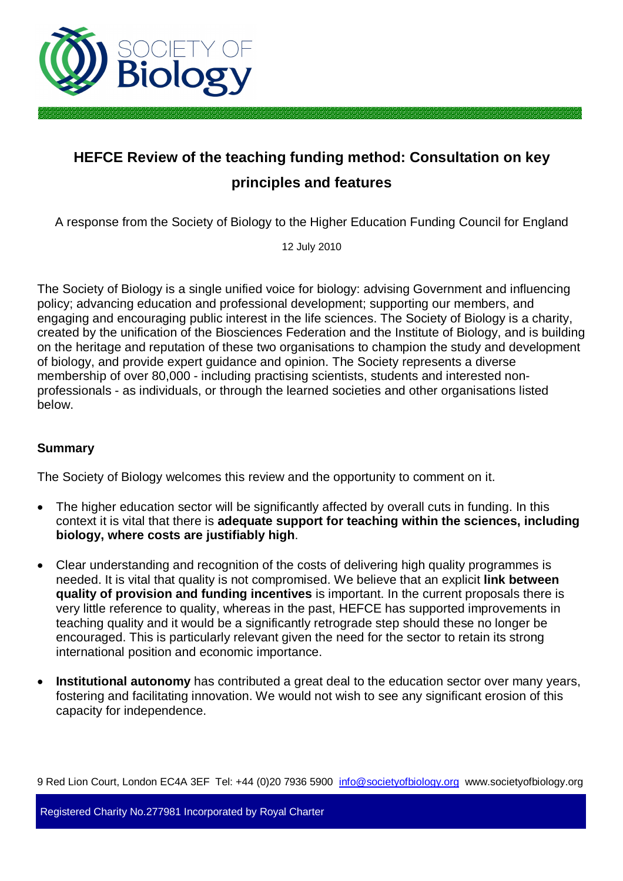

# **HEFCE Review of the teaching funding method: Consultation on key principles and features**

A response from the Society of Biology to the Higher Education Funding Council for England

12 July 2010

The Society of Biology is a single unified voice for biology: advising Government and influencing policy; advancing education and professional development; supporting our members, and engaging and encouraging public interest in the life sciences. The Society of Biology is a charity, created by the unification of the Biosciences Federation and the Institute of Biology, and is building on the heritage and reputation of these two organisations to champion the study and development of biology, and provide expert guidance and opinion. The Society represents a diverse membership of over 80,000 - including practising scientists, students and interested nonprofessionals - as individuals, or through the learned societies and other organisations listed below.

# **Summary**

The Society of Biology welcomes this review and the opportunity to comment on it.

- The higher education sector will be significantly affected by overall cuts in funding. In this context it is vital that there is **adequate support for teaching within the sciences, including biology, where costs are justifiably high**.
- Clear understanding and recognition of the costs of delivering high quality programmes is needed. It is vital that quality is not compromised. We believe that an explicit **link between quality of provision and funding incentives** is important. In the current proposals there is very little reference to quality, whereas in the past, HEFCE has supported improvements in teaching quality and it would be a significantly retrograde step should these no longer be encouraged. This is particularly relevant given the need for the sector to retain its strong international position and economic importance.
- **Institutional autonomy** has contributed a great deal to the education sector over many years, fostering and facilitating innovation. We would not wish to see any significant erosion of this capacity for independence.

9 Red Lion Court, London EC4A 3EF Tel: +44 (0)20 7936 5900 info@societyofbiology.org www.societyofbiology.org

Registered Charity No.277981 Incorporated by Royal Charter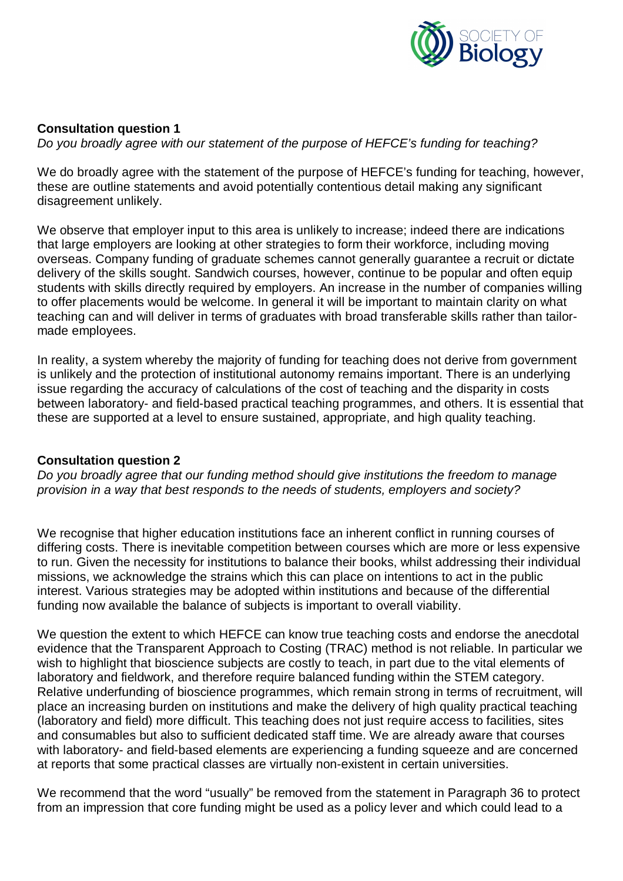

# **Consultation question 1**

*Do you broadly agree with our statement of the purpose of HEFCE's funding for teaching?*

We do broadly agree with the statement of the purpose of HEFCE's funding for teaching, however, these are outline statements and avoid potentially contentious detail making any significant disagreement unlikely.

We observe that employer input to this area is unlikely to increase; indeed there are indications that large employers are looking at other strategies to form their workforce, including moving overseas. Company funding of graduate schemes cannot generally guarantee a recruit or dictate delivery of the skills sought. Sandwich courses, however, continue to be popular and often equip students with skills directly required by employers. An increase in the number of companies willing to offer placements would be welcome. In general it will be important to maintain clarity on what teaching can and will deliver in terms of graduates with broad transferable skills rather than tailormade employees.

In reality, a system whereby the majority of funding for teaching does not derive from government is unlikely and the protection of institutional autonomy remains important. There is an underlying issue regarding the accuracy of calculations of the cost of teaching and the disparity in costs between laboratory- and field-based practical teaching programmes, and others. It is essential that these are supported at a level to ensure sustained, appropriate, and high quality teaching.

#### **Consultation question 2**

*Do you broadly agree that our funding method should give institutions the freedom to manage provision in a way that best responds to the needs of students, employers and society?*

We recognise that higher education institutions face an inherent conflict in running courses of differing costs. There is inevitable competition between courses which are more or less expensive to run. Given the necessity for institutions to balance their books, whilst addressing their individual missions, we acknowledge the strains which this can place on intentions to act in the public interest. Various strategies may be adopted within institutions and because of the differential funding now available the balance of subjects is important to overall viability.

We question the extent to which HEFCE can know true teaching costs and endorse the anecdotal evidence that the Transparent Approach to Costing (TRAC) method is not reliable. In particular we wish to highlight that bioscience subjects are costly to teach, in part due to the vital elements of laboratory and fieldwork, and therefore require balanced funding within the STEM category. Relative underfunding of bioscience programmes, which remain strong in terms of recruitment, will place an increasing burden on institutions and make the delivery of high quality practical teaching (laboratory and field) more difficult. This teaching does not just require access to facilities, sites and consumables but also to sufficient dedicated staff time. We are already aware that courses with laboratory- and field-based elements are experiencing a funding squeeze and are concerned at reports that some practical classes are virtually non-existent in certain universities.

We recommend that the word "usually" be removed from the statement in Paragraph 36 to protect from an impression that core funding might be used as a policy lever and which could lead to a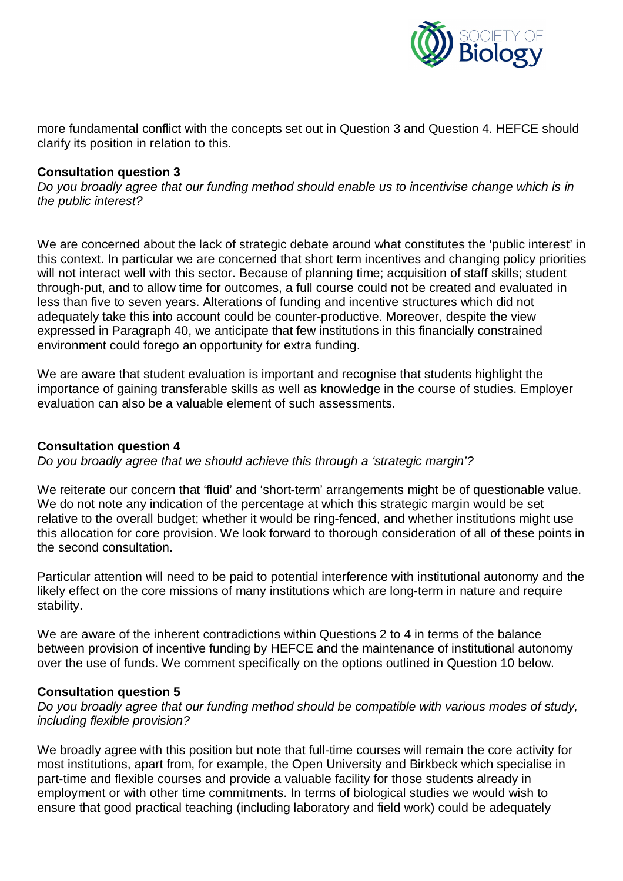

more fundamental conflict with the concepts set out in Question 3 and Question 4. HEFCE should clarify its position in relation to this.

#### **Consultation question 3**

*Do you broadly agree that our funding method should enable us to incentivise change which is in the public interest?*

We are concerned about the lack of strategic debate around what constitutes the 'public interest' in this context. In particular we are concerned that short term incentives and changing policy priorities will not interact well with this sector. Because of planning time; acquisition of staff skills; student through-put, and to allow time for outcomes, a full course could not be created and evaluated in less than five to seven years. Alterations of funding and incentive structures which did not adequately take this into account could be counter-productive. Moreover, despite the view expressed in Paragraph 40, we anticipate that few institutions in this financially constrained environment could forego an opportunity for extra funding.

We are aware that student evaluation is important and recognise that students highlight the importance of gaining transferable skills as well as knowledge in the course of studies. Employer evaluation can also be a valuable element of such assessments.

#### **Consultation question 4**

*Do you broadly agree that we should achieve this through a 'strategic margin'?*

We reiterate our concern that 'fluid' and 'short-term' arrangements might be of questionable value. We do not note any indication of the percentage at which this strategic margin would be set relative to the overall budget; whether it would be ring-fenced, and whether institutions might use this allocation for core provision. We look forward to thorough consideration of all of these points in the second consultation.

Particular attention will need to be paid to potential interference with institutional autonomy and the likely effect on the core missions of many institutions which are long-term in nature and require stability.

We are aware of the inherent contradictions within Questions 2 to 4 in terms of the balance between provision of incentive funding by HEFCE and the maintenance of institutional autonomy over the use of funds. We comment specifically on the options outlined in Question 10 below.

## **Consultation question 5**

*Do you broadly agree that our funding method should be compatible with various modes of study, including flexible provision?*

We broadly agree with this position but note that full-time courses will remain the core activity for most institutions, apart from, for example, the Open University and Birkbeck which specialise in part-time and flexible courses and provide a valuable facility for those students already in employment or with other time commitments. In terms of biological studies we would wish to ensure that good practical teaching (including laboratory and field work) could be adequately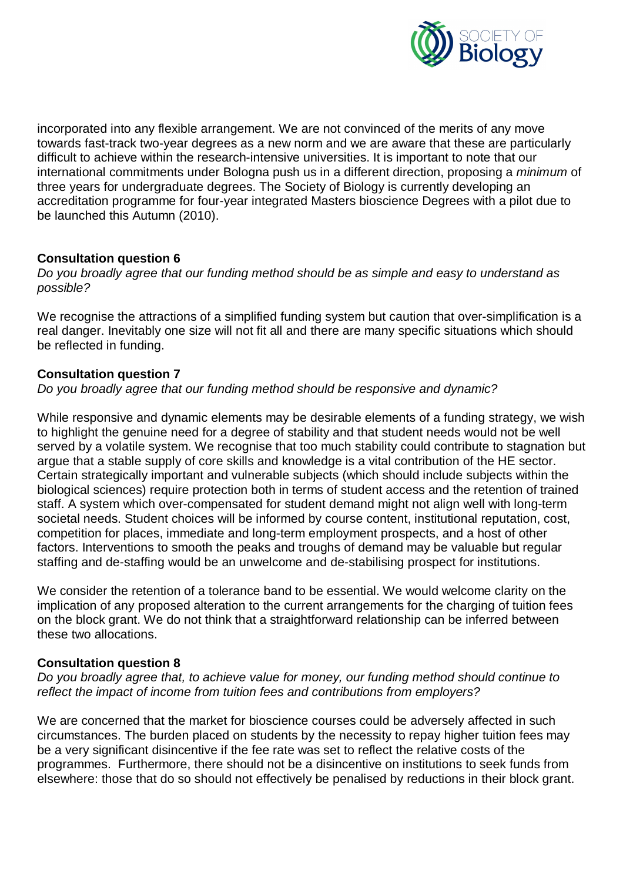

incorporated into any flexible arrangement. We are not convinced of the merits of any move towards fast-track two-year degrees as a new norm and we are aware that these are particularly difficult to achieve within the research-intensive universities. It is important to note that our international commitments under Bologna push us in a different direction, proposing a *minimum* of three years for undergraduate degrees. The Society of Biology is currently developing an accreditation programme for four-year integrated Masters bioscience Degrees with a pilot due to be launched this Autumn (2010).

# **Consultation question 6**

*Do you broadly agree that our funding method should be as simple and easy to understand as possible?*

We recognise the attractions of a simplified funding system but caution that over-simplification is a real danger. Inevitably one size will not fit all and there are many specific situations which should be reflected in funding.

# **Consultation question 7**

*Do you broadly agree that our funding method should be responsive and dynamic?*

While responsive and dynamic elements may be desirable elements of a funding strategy, we wish to highlight the genuine need for a degree of stability and that student needs would not be well served by a volatile system. We recognise that too much stability could contribute to stagnation but argue that a stable supply of core skills and knowledge is a vital contribution of the HE sector. Certain strategically important and vulnerable subjects (which should include subjects within the biological sciences) require protection both in terms of student access and the retention of trained staff. A system which over-compensated for student demand might not align well with long-term societal needs. Student choices will be informed by course content, institutional reputation, cost, competition for places, immediate and long-term employment prospects, and a host of other factors. Interventions to smooth the peaks and troughs of demand may be valuable but regular staffing and de-staffing would be an unwelcome and de-stabilising prospect for institutions.

We consider the retention of a tolerance band to be essential. We would welcome clarity on the implication of any proposed alteration to the current arrangements for the charging of tuition fees on the block grant. We do not think that a straightforward relationship can be inferred between these two allocations.

## **Consultation question 8**

*Do you broadly agree that, to achieve value for money, our funding method should continue to reflect the impact of income from tuition fees and contributions from employers?*

We are concerned that the market for bioscience courses could be adversely affected in such circumstances. The burden placed on students by the necessity to repay higher tuition fees may be a very significant disincentive if the fee rate was set to reflect the relative costs of the programmes. Furthermore, there should not be a disincentive on institutions to seek funds from elsewhere: those that do so should not effectively be penalised by reductions in their block grant.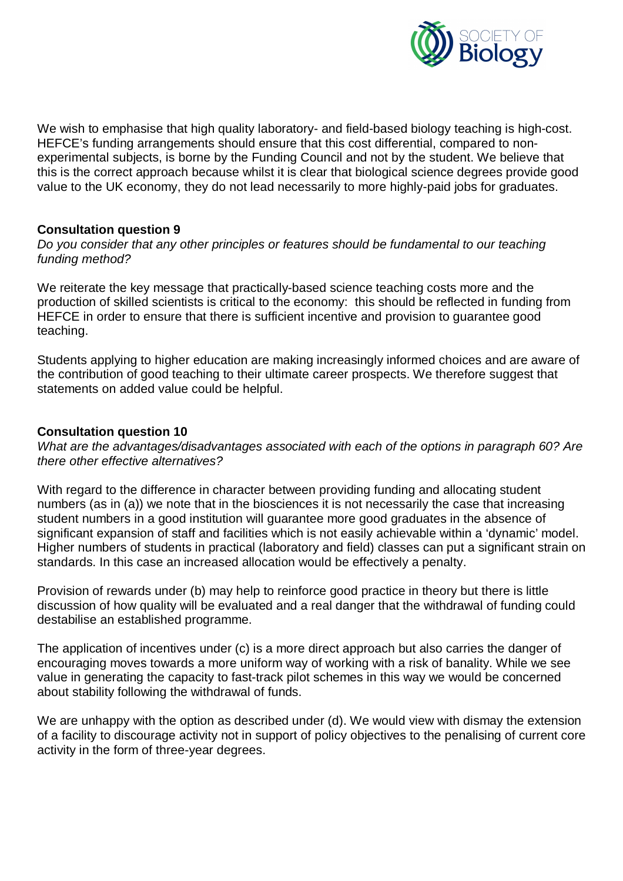

We wish to emphasise that high quality laboratory- and field-based biology teaching is high-cost. HEFCE's funding arrangements should ensure that this cost differential, compared to nonexperimental subjects, is borne by the Funding Council and not by the student. We believe that this is the correct approach because whilst it is clear that biological science degrees provide good value to the UK economy, they do not lead necessarily to more highly-paid jobs for graduates.

# **Consultation question 9**

*Do you consider that any other principles or features should be fundamental to our teaching funding method?*

We reiterate the key message that practically-based science teaching costs more and the production of skilled scientists is critical to the economy: this should be reflected in funding from HEFCE in order to ensure that there is sufficient incentive and provision to guarantee good teaching.

Students applying to higher education are making increasingly informed choices and are aware of the contribution of good teaching to their ultimate career prospects. We therefore suggest that statements on added value could be helpful.

## **Consultation question 10**

*What are the advantages/disadvantages associated with each of the options in paragraph 60? Are there other effective alternatives?*

With regard to the difference in character between providing funding and allocating student numbers (as in (a)) we note that in the biosciences it is not necessarily the case that increasing student numbers in a good institution will guarantee more good graduates in the absence of significant expansion of staff and facilities which is not easily achievable within a 'dynamic' model. Higher numbers of students in practical (laboratory and field) classes can put a significant strain on standards. In this case an increased allocation would be effectively a penalty.

Provision of rewards under (b) may help to reinforce good practice in theory but there is little discussion of how quality will be evaluated and a real danger that the withdrawal of funding could destabilise an established programme.

The application of incentives under (c) is a more direct approach but also carries the danger of encouraging moves towards a more uniform way of working with a risk of banality. While we see value in generating the capacity to fast-track pilot schemes in this way we would be concerned about stability following the withdrawal of funds.

We are unhappy with the option as described under (d). We would view with dismay the extension of a facility to discourage activity not in support of policy objectives to the penalising of current core activity in the form of three-year degrees.